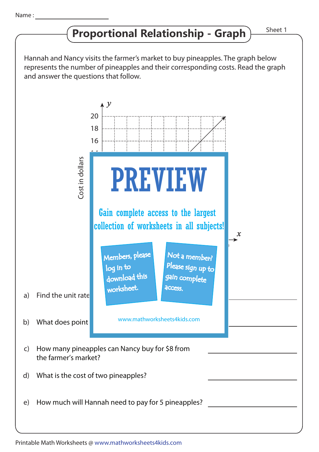## **Proportional Relationship - Graph**

Hannah and Nancy visits the farmer's market to buy pineapples. The graph below represents the number of pineapples and their corresponding costs. Read the graph and answer the questions that follow.